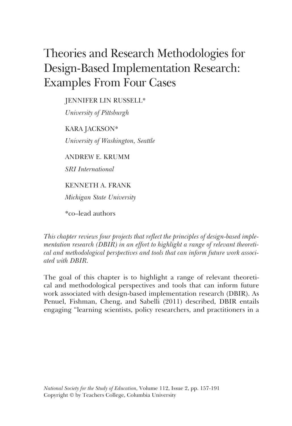# Theories and Research Methodologies for Design-Based Implementation Research: Examples From Four Cases

JENNIFER LIN RUSSELL\*

*University of Pittsburgh*

KARA JACKSON\* *University of Washington, Seattle*

ANDREW E. KRUMM

*SRI International*

KENNETH A. FRANK

*Michigan State University*

\*co–lead authors

*This chapter reviews four projects that reflect the principles of design-based implementation research (DBIR) in an effort to highlight a range of relevant theoretical and methodological perspectives and tools that can inform future work associated with DBIR.*

The goal of this chapter is to highlight a range of relevant theoretical and methodological perspectives and tools that can inform future work associated with design-based implementation research (DBIR). As Penuel, Fishman, Cheng, and Sabelli (2011) described, DBIR entails engaging "learning scientists, policy researchers, and practitioners in a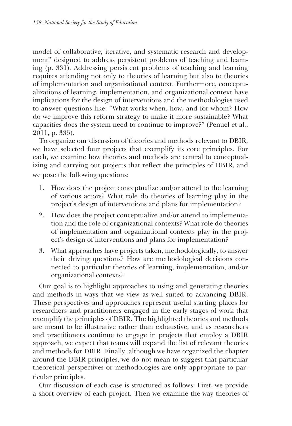model of collaborative, iterative, and systematic research and development" designed to address persistent problems of teaching and learning (p. 331). Addressing persistent problems of teaching and learning requires attending not only to theories of learning but also to theories of implementation and organizational context. Furthermore, conceptualizations of learning, implementation, and organizational context have implications for the design of interventions and the methodologies used to answer questions like: "What works when, how, and for whom? How do we improve this reform strategy to make it more sustainable? What capacities does the system need to continue to improve?" (Penuel et al., 2011, p. 335).

To organize our discussion of theories and methods relevant to DBIR, we have selected four projects that exemplify its core principles. For each, we examine how theories and methods are central to conceptualizing and carrying out projects that reflect the principles of DBIR, and we pose the following questions:

- 1. How does the project conceptualize and/or attend to the learning of various actors? What role do theories of learning play in the project's design of interventions and plans for implementation?
- 2. How does the project conceptualize and/or attend to implementation and the role of organizational contexts? What role do theories of implementation and organizational contexts play in the project's design of interventions and plans for implementation?
- 3. What approaches have projects taken, methodologically, to answer their driving questions? How are methodological decisions connected to particular theories of learning, implementation, and/or organizational contexts?

Our goal is to highlight approaches to using and generating theories and methods in ways that we view as well suited to advancing DBIR. These perspectives and approaches represent useful starting places for researchers and practitioners engaged in the early stages of work that exemplify the principles of DBIR. The highlighted theories and methods are meant to be illustrative rather than exhaustive, and as researchers and practitioners continue to engage in projects that employ a DBIR approach, we expect that teams will expand the list of relevant theories and methods for DBIR. Finally, although we have organized the chapter around the DBIR principles, we do not mean to suggest that particular theoretical perspectives or methodologies are only appropriate to particular principles.

Our discussion of each case is structured as follows: First, we provide a short overview of each project. Then we examine the way theories of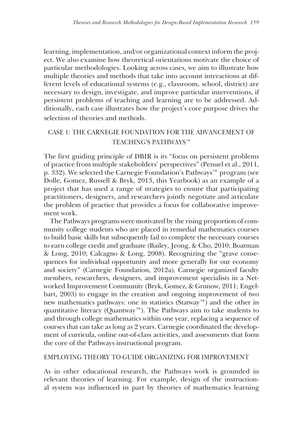learning, implementation, and/or organizational context inform the project. We also examine how theoretical orientations motivate the choice of particular methodologies. Looking across cases, we aim to illustrate how multiple theories and methods that take into account interactions at different levels of educational systems (e.g., classroom, school, district) are necessary to design, investigate, and improve particular interventions, if persistent problems of teaching and learning are to be addressed. Additionally, each case illustrates how the project's core purpose drives the selection of theories and methods.

# CASE 1: THE CARNEGIE FOUNDATION FOR THE ADVANCEMENT OF TEACHING'S PATHWAYS™

The first guiding principle of DBIR is its "focus on persistent problems of practice from multiple stakeholders' perspectives" (Penuel et al., 2011, p. 332). We selected the Carnegie Foundation's Pathways™ program (see Dolle, Gomez, Russell & Bryk, 2013, this Yearbook) as an example of a project that has used a range of strategies to ensure that participating practitioners, designers, and researchers jointly negotiate and articulate the problem of practice that provides a focus for collaborative improvement work.

The Pathways programs were motivated by the rising proportion of community college students who are placed in remedial mathematics courses to build basic skills but subsequently fail to complete the necessary courses to earn college credit and graduate (Bailey, Jeong, & Cho, 2010; Boatman & Long, 2010; Calcagno & Long, 2008). Recognizing the "grave consequences for individual opportunity and more generally for our economy and society" (Carnegie Foundation, 2012a), Carnegie organized faculty members, researchers, designers, and improvement specialists in a Networked Improvement Community (Bryk, Gomez, & Grunow, 2011; Engelbart, 2003) to engage in the creation and ongoing improvement of two new mathematics pathways: one in statistics (Statway™) and the other in quantitative literacy (Quantway™). The Pathways aim to take students to and through college mathematics within one year, replacing a sequence of courses that can take as long as 2 years. Carnegie coordinated the development of curricula, online out-of-class activities, and assessments that form the core of the Pathways instructional program.

# EMPLOYING THEORY TO GUIDE ORGANIZING FOR IMPROVEMENT

As in other educational research, the Pathways work is grounded in relevant theories of learning. For example, design of the instructional system was influenced in part by theories of mathematics learning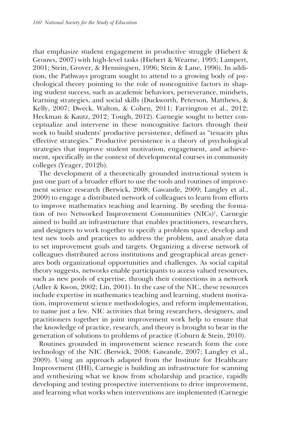that emphasize student engagement in productive struggle (Hiebert & Grouws, 2007) with high-level tasks (Hiebert & Wearne, 1993; Lampert, 2001; Stein, Grover, & Henningsen, 1996; Stein & Lane, 1996). In addition, the Pathways program sought to attend to a growing body of psychological theory pointing to the role of noncognitive factors in shaping student success, such as academic behaviors, perseverance, mindsets, learning strategies, and social skills (Duckworth, Peterson, Matthews, & Kelly, 2007; Dweck, Walton, & Cohen, 2011; Farrington et al., 2012; Heckman & Kautz, 2012; Tough, 2012). Carnegie sought to better conceptualize and intervene in these noncognitive factors through their work to build students' productive persistence, defined as "tenacity plus effective strategies." Productive persistence is a theory of psychological strategies that improve student motivation, engagement, and achievement, specifically in the context of developmental courses in community colleges (Yeager, 2012b).

The development of a theoretically grounded instructional system is just one part of a broader effort to use the tools and routines of improvement science research (Berwick, 2008; Gawande, 2009; Langley et al., 2009) to engage a distributed network of colleagues to learn from efforts to improve mathematics teaching and learning. By seeding the formation of two Networked Improvement Communities (NICs)<sup>1</sup>, Carnegie aimed to build an infrastructure that enables practitioners, researchers, and designers to work together to specify a problem space, develop and test new tools and practices to address the problem, and analyze data to set improvement goals and targets. Organizing a diverse network of colleagues distributed across institutions and geographical areas generates both organizational opportunities and challenges. As social capital theory suggests, networks enable participants to access valued resources, such as new pools of expertise, through their connections in a network (Adler & Kwon, 2002; Lin, 2001). In the case of the NIC, these resources include expertise in mathematics teaching and learning, student motivation, improvement science methodologies, and reform implementation, to name just a few. NIC activities that bring researchers, designers, and practitioners together in joint improvement work help to ensure that the knowledge of practice, research, and theory is brought to bear in the generation of solutions to problems of practice (Coburn & Stein, 2010).

Routines grounded in improvement science research form the core technology of the NIC (Berwick, 2008; Gawande, 2007; Langley et al., 2009). Using an approach adapted from the Institute for Healthcare Improvement (IHI), Carnegie is building an infrastructure for scanning and synthesizing what we know from scholarship and practice, rapidly developing and testing prospective interventions to drive improvement, and learning what works when interventions are implemented (Carnegie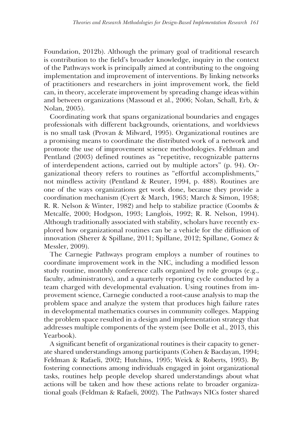Foundation, 2012b). Although the primary goal of traditional research is contribution to the field's broader knowledge, inquiry in the context of the Pathways work is principally aimed at contributing to the ongoing implementation and improvement of interventions. By linking networks of practitioners and researchers in joint improvement work, the field can, in theory, accelerate improvement by spreading change ideas within and between organizations (Massoud et al., 2006; Nolan, Schall, Erb, & Nolan, 2005).

Coordinating work that spans organizational boundaries and engages professionals with different backgrounds, orientations, and worldviews is no small task (Provan & Milward, 1995). Organizational routines are a promising means to coordinate the distributed work of a network and promote the use of improvement science methodologies. Feldman and Pentland (2003) defined routines as "repetitive, recognizable patterns of interdependent actions, carried out by multiple actors" (p. 94). Organizational theory refers to routines as "effortful accomplishments," not mindless activity (Pentland & Reuter, 1994, p. 488). Routines are one of the ways organizations get work done, because they provide a coordination mechanism (Cyert & March, 1963; March & Simon, 1958; R. R. Nelson & Winter, 1982) and help to stabilize practice (Coombs & Metcalfe, 2000; Hodgson, 1993; Langlois, 1992; R. R. Nelson, 1994). Although traditionally associated with stability, scholars have recently explored how organizational routines can be a vehicle for the diffusion of innovation (Sherer & Spillane, 2011; Spillane, 2012; Spillane, Gomez & Messler, 2009).

The Carnegie Pathways program employs a number of routines to coordinate improvement work in the NIC, including a modified lesson study routine, monthly conference calls organized by role groups (e.g., faculty, administrators), and a quarterly reporting cycle conducted by a team charged with developmental evaluation. Using routines from improvement science, Carnegie conducted a root-cause analysis to map the problem space and analyze the system that produces high failure rates in developmental mathematics courses in community colleges. Mapping the problem space resulted in a design and implementation strategy that addresses multiple components of the system (see Dolle et al., 2013, this Yearbook).

A significant benefit of organizational routines is their capacity to generate shared understandings among participants (Cohen & Bacdayan, 1994; Feldman & Rafaeli, 2002; Hutchins, 1995; Weick & Roberts, 1993). By fostering connections among individuals engaged in joint organizational tasks, routines help people develop shared understandings about what actions will be taken and how these actions relate to broader organizational goals (Feldman & Rafaeli, 2002). The Pathways NICs foster shared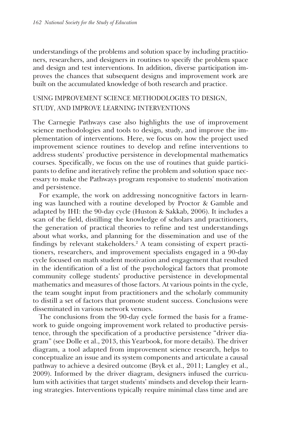understandings of the problems and solution space by including practitioners, researchers, and designers in routines to specify the problem space and design and test interventions. In addition, diverse participation improves the chances that subsequent designs and improvement work are built on the accumulated knowledge of both research and practice.

# USING IMPROVEMENT SCIENCE METHODOLOGIES TO DESIGN, STUDY, AND IMPROVE LEARNING INTERVENTIONS

The Carnegie Pathways case also highlights the use of improvement science methodologies and tools to design, study, and improve the implementation of interventions. Here, we focus on how the project used improvement science routines to develop and refine interventions to address students' productive persistence in developmental mathematics courses. Specifically, we focus on the use of routines that guide participants to define and iteratively refine the problem and solution space necessary to make the Pathways program responsive to students' motivation and persistence.

For example, the work on addressing noncognitive factors in learning was launched with a routine developed by Proctor & Gamble and adapted by IHI: the 90-day cycle (Huston & Sakkab, 2006). It includes a scan of the field, distilling the knowledge of scholars and practitioners, the generation of practical theories to refine and test understandings about what works, and planning for the dissemination and use of the findings by relevant stakeholders.<sup>2</sup> A team consisting of expert practitioners, researchers, and improvement specialists engaged in a 90-day cycle focused on math student motivation and engagement that resulted in the identification of a list of the psychological factors that promote community college students' productive persistence in developmental mathematics and measures of those factors. At various points in the cycle, the team sought input from practitioners and the scholarly community to distill a set of factors that promote student success. Conclusions were disseminated in various network venues.

The conclusions from the 90-day cycle formed the basis for a framework to guide ongoing improvement work related to productive persistence, through the specification of a productive persistence "driver diagram" (see Dolle et al., 2013, this Yearbook, for more details). The driver diagram, a tool adapted from improvement science research, helps to conceptualize an issue and its system components and articulate a causal pathway to achieve a desired outcome (Bryk et al., 2011; Langley et al., 2009). Informed by the driver diagram, designers infused the curriculum with activities that target students' mindsets and develop their learning strategies. Interventions typically require minimal class time and are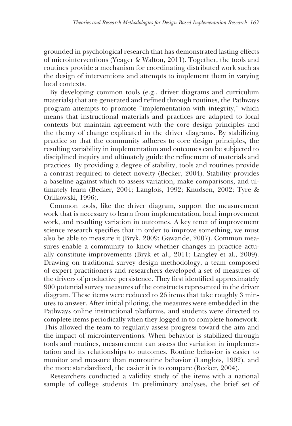grounded in psychological research that has demonstrated lasting effects of microinterventions (Yeager & Walton, 2011). Together, the tools and routines provide a mechanism for coordinating distributed work such as the design of interventions and attempts to implement them in varying local contexts.

By developing common tools (e.g., driver diagrams and curriculum materials) that are generated and refined through routines, the Pathways program attempts to promote "implementation with integrity," which means that instructional materials and practices are adapted to local contexts but maintain agreement with the core design principles and the theory of change explicated in the driver diagrams. By stabilizing practice so that the community adheres to core design principles, the resulting variability in implementation and outcomes can be subjected to disciplined inquiry and ultimately guide the refinement of materials and practices. By providing a degree of stability, tools and routines provide a contrast required to detect novelty (Becker, 2004). Stability provides a baseline against which to assess variation, make comparisons, and ultimately learn (Becker, 2004; Langlois, 1992; Knudsen, 2002; Tyre & Orlikowski, 1996).

Common tools, like the driver diagram, support the measurement work that is necessary to learn from implementation, local improvement work, and resulting variation in outcomes. A key tenet of improvement science research specifies that in order to improve something, we must also be able to measure it (Bryk, 2009; Gawande, 2007). Common measures enable a community to know whether changes in practice actually constitute improvements (Bryk et al., 2011; Langley et al., 2009). Drawing on traditional survey design methodology, a team composed of expert practitioners and researchers developed a set of measures of the drivers of productive persistence. They first identified approximately 900 potential survey measures of the constructs represented in the driver diagram. These items were reduced to 26 items that take roughly 3 minutes to answer. After initial piloting, the measures were embedded in the Pathways online instructional platforms, and students were directed to complete items periodically when they logged in to complete homework. This allowed the team to regularly assess progress toward the aim and the impact of microinterventions. When behavior is stabilized through tools and routines, measurement can assess the variation in implementation and its relationships to outcomes. Routine behavior is easier to monitor and measure than nonroutine behavior (Langlois, 1992), and the more standardized, the easier it is to compare (Becker, 2004).

Researchers conducted a validity study of the items with a national sample of college students. In preliminary analyses, the brief set of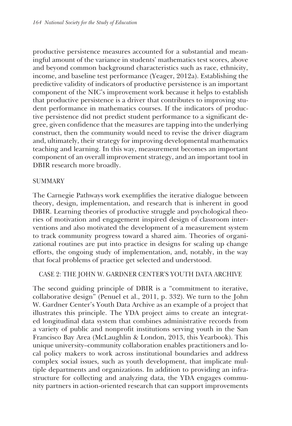productive persistence measures accounted for a substantial and meaningful amount of the variance in students' mathematics test scores, above and beyond common background characteristics such as race, ethnicity, income, and baseline test performance (Yeager, 2012a). Establishing the predictive validity of indicators of productive persistence is an important component of the NIC's improvement work because it helps to establish that productive persistence is a driver that contributes to improving student performance in mathematics courses. If the indicators of productive persistence did not predict student performance to a significant degree, given confidence that the measures are tapping into the underlying construct, then the community would need to revise the driver diagram and, ultimately, their strategy for improving developmental mathematics teaching and learning. In this way, measurement becomes an important component of an overall improvement strategy, and an important tool in DBIR research more broadly.

# **SUMMARY**

The Carnegie Pathways work exemplifies the iterative dialogue between theory, design, implementation, and research that is inherent in good DBIR. Learning theories of productive struggle and psychological theories of motivation and engagement inspired design of classroom interventions and also motivated the development of a measurement system to track community progress toward a shared aim. Theories of organizational routines are put into practice in designs for scaling up change efforts, the ongoing study of implementation, and, notably, in the way that focal problems of practice get selected and understood.

# CASE 2: THE JOHN W. GARDNER CENTER'S YOUTH DATA ARCHIVE

The second guiding principle of DBIR is a "commitment to iterative, collaborative design" (Penuel et al., 2011, p. 332). We turn to the John W. Gardner Center's Youth Data Archive as an example of a project that illustrates this principle. The YDA project aims to create an integrated longitudinal data system that combines administrative records from a variety of public and nonprofit institutions serving youth in the San Francisco Bay Area (McLaughlin & London, 2013, this Yearbook). This unique university–community collaboration enables practitioners and local policy makers to work across institutional boundaries and address complex social issues, such as youth development, that implicate multiple departments and organizations. In addition to providing an infrastructure for collecting and analyzing data, the YDA engages community partners in action-oriented research that can support improvements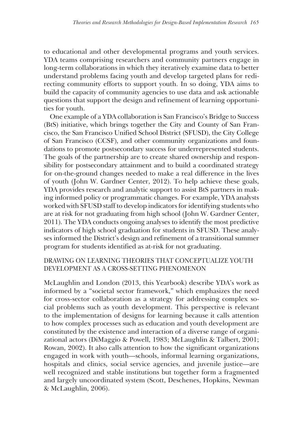to educational and other developmental programs and youth services. YDA teams comprising researchers and community partners engage in long-term collaborations in which they iteratively examine data to better understand problems facing youth and develop targeted plans for redirecting community efforts to support youth. In so doing, YDA aims to build the capacity of community agencies to use data and ask actionable questions that support the design and refinement of learning opportunities for youth.

One example of a YDA collaboration is San Francisco's Bridge to Success (BtS) initiative, which brings together the City and County of San Francisco, the San Francisco Unified School District (SFUSD), the City College of San Francisco (CCSF), and other community organizations and foundations to promote postsecondary success for underrepresented students. The goals of the partnership are to create shared ownership and responsibility for postsecondary attainment and to build a coordinated strategy for on-the-ground changes needed to make a real difference in the lives of youth (John W. Gardner Center, 2012). To help achieve these goals, YDA provides research and analytic support to assist BtS partners in making informed policy or programmatic changes. For example, YDA analysts worked with SFUSD staff to develop indicators for identifying students who are at risk for not graduating from high school (John W. Gardner Center, 2011). The YDA conducts ongoing analyses to identify the most predictive indicators of high school graduation for students in SFUSD. These analyses informed the District's design and refinement of a transitional summer program for students identified as at-risk for not graduating.

# DRAWING ON LEARNING THEORIES THAT CONCEPTUALIZE YOUTH DEVELOPMENT AS A CROSS-SETTING PHENOMENON

McLaughlin and London (2013, this Yearbook) describe YDA's work as informed by a "societal sector framework," which emphasizes the need for cross-sector collaboration as a strategy for addressing complex social problems such as youth development. This perspective is relevant to the implementation of designs for learning because it calls attention to how complex processes such as education and youth development are constituted by the existence and interaction of a diverse range of organizational actors (DiMaggio & Powell, 1983; McLaughlin & Talbert, 2001; Rowan, 2002). It also calls attention to how the significant organizations engaged in work with youth—schools, informal learning organizations, hospitals and clinics, social service agencies, and juvenile justice—are well recognized and stable institutions but together form a fragmented and largely uncoordinated system (Scott, Deschenes, Hopkins, Newman & McLaughlin, 2006).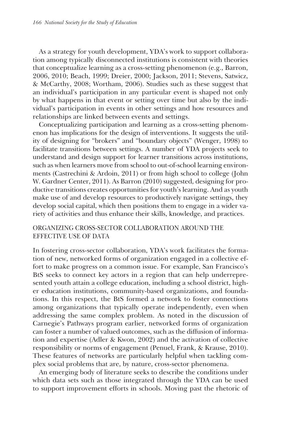As a strategy for youth development, YDA's work to support collaboration among typically disconnected institutions is consistent with theories that conceptualize learning as a cross-setting phenomenon (e.g., Barron, 2006, 2010; Beach, 1999; Dreier, 2000; Jackson, 2011; Stevens, Satwicz, & McCarthy, 2008; Wortham, 2006). Studies such as these suggest that an individual's participation in any particular event is shaped not only by what happens in that event or setting over time but also by the individual's participation in events in other settings and how resources and relationships are linked between events and settings.

Conceptualizing participation and learning as a cross-setting phenomenon has implications for the design of interventions. It suggests the utility of designing for "brokers" and "boundary objects" (Wenger, 1998) to facilitate transitions between settings. A number of YDA projects seek to understand and design support for learner transitions across institutions, such as when learners move from school to out-of-school learning environments (Castrechini & Ardoin, 2011) or from high school to college (John W. Gardner Center, 2011). As Barron (2010) suggested, designing for productive transitions creates opportunities for youth's learning. And as youth make use of and develop resources to productively navigate settings, they develop social capital, which then positions them to engage in a wider variety of activities and thus enhance their skills, knowledge, and practices.

# ORGANIZING CROSS-SECTOR COLLABORATION AROUND THE EFFECTIVE USE OF DATA

In fostering cross-sector collaboration, YDA's work facilitates the formation of new, networked forms of organization engaged in a collective effort to make progress on a common issue. For example, San Francisco's BtS seeks to connect key actors in a region that can help underrepresented youth attain a college education, including a school district, higher education institutions, community-based organizations, and foundations. In this respect, the BtS formed a network to foster connections among organizations that typically operate independently, even when addressing the same complex problem. As noted in the discussion of Carnegie's Pathways program earlier, networked forms of organization can foster a number of valued outcomes, such as the diffusion of information and expertise (Adler & Kwon, 2002) and the activation of collective responsibility or norms of engagement (Penuel, Frank, & Krause, 2010). These features of networks are particularly helpful when tackling complex social problems that are, by nature, cross-sector phenomena.

An emerging body of literature seeks to describe the conditions under which data sets such as those integrated through the YDA can be used to support improvement efforts in schools. Moving past the rhetoric of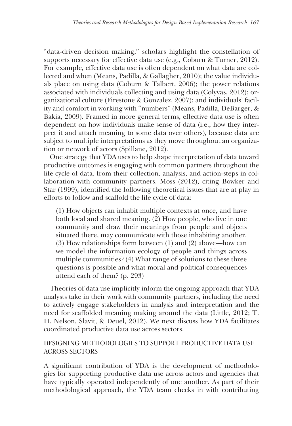"data-driven decision making," scholars highlight the constellation of supports necessary for effective data use (e.g., Coburn & Turner, 2012). For example, effective data use is often dependent on what data are collected and when (Means, Padilla, & Gallagher, 2010); the value individuals place on using data (Coburn & Talbert, 2006); the power relations associated with individuals collecting and using data (Colyvas, 2012); organizational culture (Firestone & Gonzalez, 2007); and individuals' facility and comfort in working with "numbers" (Means, Padilla, DeBarger, & Bakia, 2009). Framed in more general terms, effective data use is often dependent on how individuals make sense of data (i.e., how they interpret it and attach meaning to some data over others), because data are subject to multiple interpretations as they move throughout an organization or network of actors (Spillane, 2012).

One strategy that YDA uses to help shape interpretation of data toward productive outcomes is engaging with common partners throughout the life cycle of data, from their collection, analysis, and action-steps in collaboration with community partners. Moss (2012), citing Bowker and Star (1999), identified the following theoretical issues that are at play in efforts to follow and scaffold the life cycle of data:

(1) How objects can inhabit multiple contexts at once, and have both local and shared meaning. (2) How people, who live in one community and draw their meanings from people and objects situated there, may communicate with those inhabiting another. (3) How relationships form between (1) and (2) above—how can we model the information ecology of people and things across multiple communities? (4) What range of solutions to these three questions is possible and what moral and political consequences attend each of them? (p. 293)

Theories of data use implicitly inform the ongoing approach that YDA analysts take in their work with community partners, including the need to actively engage stakeholders in analysis and interpretation and the need for scaffolded meaning making around the data (Little, 2012; T. H. Nelson, Slavit, & Deuel, 2012). We next discuss how YDA facilitates coordinated productive data use across sectors.

# DESIGNING METHODOLOGIES TO SUPPORT PRODUCTIVE DATA USE ACROSS SECTORS

A significant contribution of YDA is the development of methodologies for supporting productive data use across actors and agencies that have typically operated independently of one another. As part of their methodological approach, the YDA team checks in with contributing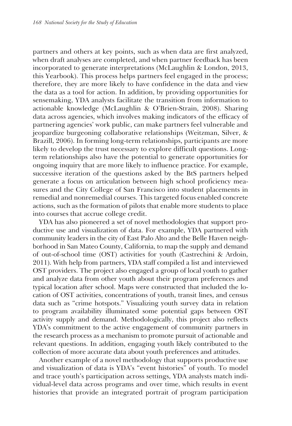partners and others at key points, such as when data are first analyzed, when draft analyses are completed, and when partner feedback has been incorporated to generate interpretations (McLaughlin & London, 2013, this Yearbook). This process helps partners feel engaged in the process; therefore, they are more likely to have confidence in the data and view the data as a tool for action. In addition, by providing opportunities for sensemaking, YDA analysts facilitate the transition from information to actionable knowledge (McLaughlin & O'Brien-Strain, 2008). Sharing data across agencies, which involves making indicators of the efficacy of partnering agencies' work public, can make partners feel vulnerable and jeopardize burgeoning collaborative relationships (Weitzman, Silver, & Brazill, 2006). In forming long-term relationships, participants are more likely to develop the trust necessary to explore difficult questions. Longterm relationships also have the potential to generate opportunities for ongoing inquiry that are more likely to influence practice. For example, successive iteration of the questions asked by the BtS partners helped generate a focus on articulation between high school proficiency measures and the City College of San Francisco into student placements in remedial and nonremedial courses. This targeted focus enabled concrete actions, such as the formation of pilots that enable more students to place into courses that accrue college credit.

YDA has also pioneered a set of novel methodologies that support productive use and visualization of data. For example, YDA partnered with community leaders in the city of East Palo Alto and the Belle Haven neighborhood in San Mateo County, California, to map the supply and demand of out-of-school time (OST) activities for youth (Castrechini & Ardoin, 2011). With help from partners, YDA staff compiled a list and interviewed OST providers. The project also engaged a group of local youth to gather and analyze data from other youth about their program preferences and typical location after school. Maps were constructed that included the location of OST activities, concentrations of youth, transit lines, and census data such as "crime hotspots." Visualizing youth survey data in relation to program availability illuminated some potential gaps between OST activity supply and demand. Methodologically, this project also reflects YDA's commitment to the active engagement of community partners in the research process as a mechanism to promote pursuit of actionable and relevant questions. In addition, engaging youth likely contributed to the collection of more accurate data about youth preferences and attitudes.

Another example of a novel methodology that supports productive use and visualization of data is YDA's "event histories" of youth. To model and trace youth's participation across settings, YDA analysts match individual-level data across programs and over time, which results in event histories that provide an integrated portrait of program participation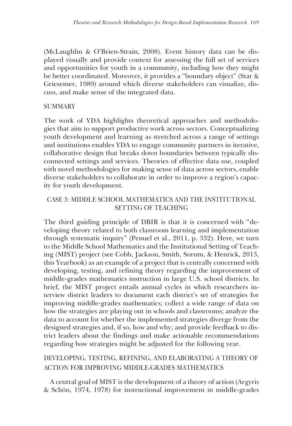(McLaughlin & O'Brien-Strain, 2008). Event history data can be displayed visually and provide context for assessing the full set of services and opportunities for youth in a community, including how they might be better coordinated. Moreover, it provides a "boundary object" (Star & Griesemer, 1989) around which diverse stakeholders can visualize, discuss, and make sense of the integrated data.

# SUMMARY

The work of YDA highlights theoretical approaches and methodologies that aim to support productive work across sectors. Conceptualizing youth development and learning as stretched across a range of settings and institutions enables YDA to engage community partners in iterative, collaborative design that breaks down boundaries between typically disconnected settings and services. Theories of effective data use, coupled with novel methodologies for making sense of data across sectors, enable diverse stakeholders to collaborate in order to improve a region's capacity for youth development.

# CASE 3: MIDDLE SCHOOL MATHEMATICS AND THE INSTITUTIONAL SETTING OF TEACHING

The third guiding principle of DBIR is that it is concerned with "developing theory related to both classroom learning and implementation through systematic inquiry" (Penuel et al., 2011, p. 332). Here, we turn to the Middle School Mathematics and the Institutional Setting of Teaching (MIST) project (see Cobb, Jackson, Smith, Sorum, & Henrick, 2013, this Yearbook) as an example of a project that is centrally concerned with developing, testing, and refining theory regarding the improvement of middle-grades mathematics instruction in large U.S. school districts. In brief, the MIST project entails annual cycles in which researchers interview district leaders to document each district's set of strategies for improving middle-grades mathematics; collect a wide range of data on how the strategies are playing out in schools and classrooms; analyze the data to account for whether the implemented strategies diverge from the designed strategies and, if so, how and why; and provide feedback to district leaders about the findings and make actionable recommendations regarding how strategies might be adjusted for the following year.

# DEVELOPING, TESTING, REFINING, AND ELABORATING A THEORY OF ACTION FOR IMPROVING MIDDLE-GRADES MATHEMATICS

A central goal of MIST is the development of a theory of action (Argyris & Schön, 1974, 1978) for instructional improvement in middle-grades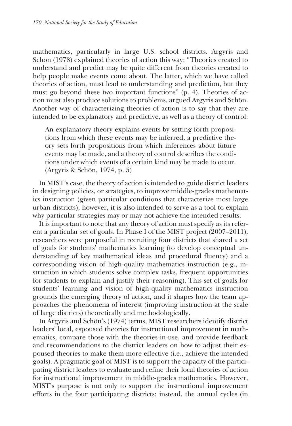mathematics, particularly in large U.S. school districts. Argyris and Schön (1978) explained theories of action this way: "Theories created to understand and predict may be quite different from theories created to help people make events come about. The latter, which we have called theories of action, must lead to understanding and prediction, but they must go beyond these two important functions" (p. 4). Theories of action must also produce solutions to problems, argued Argyris and Schön. Another way of characterizing theories of action is to say that they are intended to be explanatory and predictive, as well as a theory of control:

An explanatory theory explains events by setting forth propositions from which these events may be inferred, a predictive theory sets forth propositions from which inferences about future events may be made, and a theory of control describes the conditions under which events of a certain kind may be made to occur. (Argyris & Schön, 1974, p. 5)

In MIST's case, the theory of action is intended to guide district leaders in designing policies, or strategies, to improve middle-grades mathematics instruction (given particular conditions that characterize most large urban districts); however, it is also intended to serve as a tool to explain why particular strategies may or may not achieve the intended results.

It is important to note that any theory of action must specify as its referent a particular set of goals. In Phase I of the MIST project (2007–2011), researchers were purposeful in recruiting four districts that shared a set of goals for students' mathematics learning (to develop conceptual understanding of key mathematical ideas and procedural fluency) and a corresponding vision of high-quality mathematics instruction (e.g., instruction in which students solve complex tasks, frequent opportunities for students to explain and justify their reasoning). This set of goals for students' learning and vision of high-quality mathematics instruction grounds the emerging theory of action, and it shapes how the team approaches the phenomena of interest (improving instruction at the scale of large districts) theoretically and methodologically.

In Argyris and Schön's (1974) terms, MIST researchers identify district leaders' local, espoused theories for instructional improvement in mathematics, compare those with the theories-in-use, and provide feedback and recommendations to the district leaders on how to adjust their espoused theories to make them more effective (i.e., achieve the intended goals). A pragmatic goal of MIST is to support the capacity of the participating district leaders to evaluate and refine their local theories of action for instructional improvement in middle-grades mathematics. However, MIST's purpose is not only to support the instructional improvement efforts in the four participating districts; instead, the annual cycles (in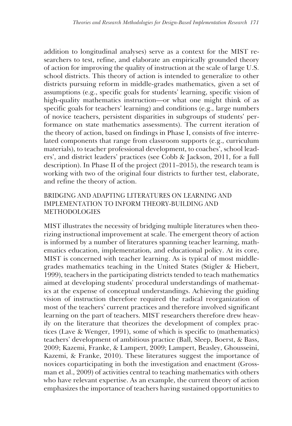addition to longitudinal analyses) serve as a context for the MIST researchers to test, refine, and elaborate an empirically grounded theory of action for improving the quality of instruction at the scale of large U.S. school districts. This theory of action is intended to generalize to other districts pursuing reform in middle-grades mathematics, given a set of assumptions (e.g., specific goals for students' learning, specific vision of high-quality mathematics instruction—or what one might think of as specific goals for teachers' learning) and conditions (e.g., large numbers of novice teachers, persistent disparities in subgroups of students' performance on state mathematics assessments). The current iteration of the theory of action, based on findings in Phase I, consists of five interrelated components that range from classroom supports (e.g., curriculum materials), to teacher professional development, to coaches', school leaders', and district leaders' practices (see Cobb & Jackson, 2011, for a full description). In Phase II of the project  $(2011–2015)$ , the research team is working with two of the original four districts to further test, elaborate, and refine the theory of action.

# BRIDGING AND ADAPTING LITERATURES ON LEARNING AND IMPLEMENTATION TO INFORM THEORY-BUILDING AND **METHODOLOGIES**

MIST illustrates the necessity of bridging multiple literatures when theorizing instructional improvement at scale. The emergent theory of action is informed by a number of literatures spanning teacher learning, mathematics education, implementation, and educational policy. At its core, MIST is concerned with teacher learning. As is typical of most middlegrades mathematics teaching in the United States (Stigler & Hiebert, 1999), teachers in the participating districts tended to teach mathematics aimed at developing students' procedural understandings of mathematics at the expense of conceptual understandings. Achieving the guiding vision of instruction therefore required the radical reorganization of most of the teachers' current practices and therefore involved significant learning on the part of teachers. MIST researchers therefore drew heavily on the literature that theorizes the development of complex practices (Lave & Wenger, 1991), some of which is specific to (mathematics) teachers' development of ambitious practice (Ball, Sleep, Boerst, & Bass, 2009; Kazemi, Franke, & Lampert, 2009; Lampert, Beasley, Ghousseini, Kazemi, & Franke, 2010). These literatures suggest the importance of novices coparticipating in both the investigation and enactment (Grossman et al., 2009) of activities central to teaching mathematics with others who have relevant expertise. As an example, the current theory of action emphasizes the importance of teachers having sustained opportunities to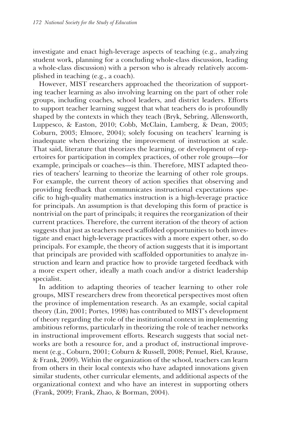investigate and enact high-leverage aspects of teaching (e.g., analyzing student work, planning for a concluding whole-class discussion, leading a whole-class discussion) with a person who is already relatively accomplished in teaching (e.g., a coach).

However, MIST researchers approached the theorization of supporting teacher learning as also involving learning on the part of other role groups, including coaches, school leaders, and district leaders. Efforts to support teacher learning suggest that what teachers do is profoundly shaped by the contexts in which they teach (Bryk, Sebring, Allensworth, Luppesco, & Easton, 2010; Cobb, McClain, Lamberg, & Dean, 2003; Coburn, 2003; Elmore, 2004); solely focusing on teachers' learning is inadequate when theorizing the improvement of instruction at scale. That said, literature that theorizes the learning, or development of repertoires for participation in complex practices, of other role groups—for example, principals or coaches—is thin. Therefore, MIST adapted theories of teachers' learning to theorize the learning of other role groups. For example, the current theory of action specifies that observing and providing feedback that communicates instructional expectations specific to high-quality mathematics instruction is a high-leverage practice for principals. An assumption is that developing this form of practice is nontrivial on the part of principals; it requires the reorganization of their current practices. Therefore, the current iteration of the theory of action suggests that just as teachers need scaffolded opportunities to both investigate and enact high-leverage practices with a more expert other, so do principals. For example, the theory of action suggests that it is important that principals are provided with scaffolded opportunities to analyze instruction and learn and practice how to provide targeted feedback with a more expert other, ideally a math coach and/or a district leadership specialist.

In addition to adapting theories of teacher learning to other role groups, MIST researchers drew from theoretical perspectives most often the province of implementation research. As an example, social capital theory (Lin, 2001; Portes, 1998) has contributed to MIST's development of theory regarding the role of the institutional context in implementing ambitious reforms, particularly in theorizing the role of teacher networks in instructional improvement efforts. Research suggests that social networks are both a resource for, and a product of, instructional improvement (e.g., Coburn, 2001; Coburn & Russell, 2008; Penuel, Riel, Krause, & Frank, 2009). Within the organization of the school, teachers can learn from others in their local contexts who have adapted innovations given similar students, other curricular elements, and additional aspects of the organizational context and who have an interest in supporting others (Frank, 2009; Frank, Zhao, & Borman, 2004).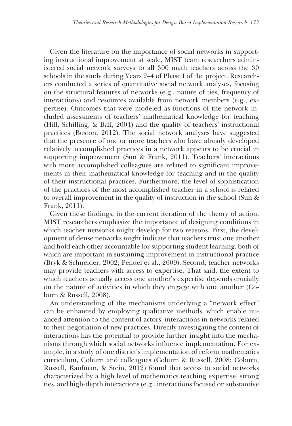Given the literature on the importance of social networks in supporting instructional improvement at scale, MIST team researchers administered social network surveys to all 300 math teachers across the 30 schools in the study during Years 2–4 of Phase I of the project. Researchers conducted a series of quantitative social network analyses, focusing on the structural features of networks (e.g., nature of ties, frequency of interactions) and resources available from network members (e.g., expertise). Outcomes that were modeled as functions of the network included assessments of teachers' mathematical knowledge for teaching (Hill, Schilling, & Ball, 2004) and the quality of teachers' instructional practices (Boston, 2012). The social network analyses have suggested that the presence of one or more teachers who have already developed relatively accomplished practices in a network appears to be crucial in supporting improvement (Sun & Frank, 2011). Teachers' interactions with more accomplished colleagues are related to significant improvements in their mathematical knowledge for teaching and in the quality of their instructional practices. Furthermore, the level of sophistication of the practices of the most accomplished teacher in a school is related to overall improvement in the quality of instruction in the school (Sun & Frank, 2011).

Given these findings, in the current iteration of the theory of action, MIST researchers emphasize the importance of designing conditions in which teacher networks might develop for two reasons. First, the development of dense networks might indicate that teachers trust one another and hold each other accountable for supporting student learning, both of which are important in sustaining improvement in instructional practice (Bryk & Schneider, 2002; Penuel et al., 2009). Second, teacher networks may provide teachers with access to expertise. That said, the extent to which teachers actually access one another's expertise depends crucially on the nature of activities in which they engage with one another (Coburn & Russell, 2008).

An understanding of the mechanisms underlying a "network effect" can be enhanced by employing qualitative methods, which enable nuanced attention to the content of actors' interactions in networks related to their negotiation of new practices. Directly investigating the content of interactions has the potential to provide further insight into the mechanisms through which social networks influence implementation. For example, in a study of one district's implementation of reform mathematics curriculum, Coburn and colleagues (Coburn & Russell, 2008; Coburn, Russell, Kaufman, & Stein, 2012) found that access to social networks characterized by a high level of mathematics teaching expertise, strong ties, and high-depth interactions (e.g., interactions focused on substantive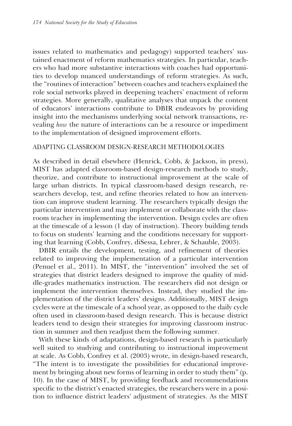issues related to mathematics and pedagogy) supported teachers' sustained enactment of reform mathematics strategies. In particular, teachers who had more substantive interactions with coaches had opportunities to develop nuanced understandings of reform strategies. As such, the "routines of interaction" between coaches and teachers explained the role social networks played in deepening teachers' enactment of reform strategies. More generally, qualitative analyses that unpack the content of educators' interactions contribute to DBIR endeavors by providing insight into the mechanisms underlying social network transactions, revealing *how* the nature of interactions can be a resource or impediment to the implementation of designed improvement efforts.

# ADAPTING CLASSROOM DESIGN-RESEARCH METHODOLOGIES

As described in detail elsewhere (Henrick, Cobb, & Jackson, in press), MIST has adapted classroom-based design-research methods to study, theorize, and contribute to instructional improvement at the scale of large urban districts. In typical classroom-based design research, researchers develop, test, and refine theories related to how an intervention can improve student learning. The researchers typically design the particular intervention and may implement or collaborate with the classroom teacher in implementing the intervention. Design cycles are often at the timescale of a lesson (1 day of instruction). Theory building tends to focus on students' learning and the conditions necessary for supporting that learning (Cobb, Confrey, diSessa, Lehrer, & Schauble, 2003).

DBIR entails the development, testing, and refinement of theories related to improving the implementation of a particular intervention (Penuel et al., 2011). In MIST, the "intervention" involved the set of strategies that district leaders designed to improve the quality of middle-grades mathematics instruction. The researchers did not design or implement the intervention themselves. Instead, they studied the implementation of the district leaders' designs. Additionally, MIST design cycles were at the timescale of a school year, as opposed to the daily cycle often used in classroom-based design research. This is because district leaders tend to design their strategies for improving classroom instruction in summer and then readjust them the following summer.

With these kinds of adaptations, design-based research is particularly well suited to studying and contributing to instructional improvement at scale. As Cobb, Confrey et al. (2003) wrote, in design-based research, "The intent is to investigate the possibilities for educational improvement by bringing about new forms of learning in order to study them" (p. 10). In the case of MIST, by providing feedback and recommendations specific to the district's enacted strategies, the researchers were in a position to influence district leaders' adjustment of strategies. As the MIST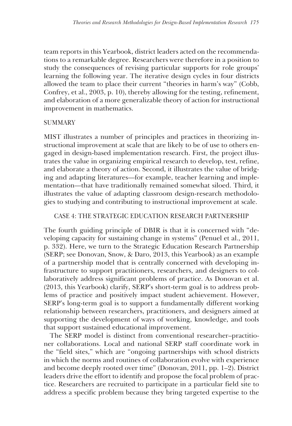team reports in this Yearbook, district leaders acted on the recommendations to a remarkable degree. Researchers were therefore in a position to study the consequences of revising particular supports for role groups' learning the following year. The iterative design cycles in four districts allowed the team to place their current "theories in harm's way" (Cobb, Confrey, et al., 2003, p. 10), thereby allowing for the testing, refinement, and elaboration of a more generalizable theory of action for instructional improvement in mathematics.

# **SUMMARY**

MIST illustrates a number of principles and practices in theorizing instructional improvement at scale that are likely to be of use to others engaged in design-based implementation research. First, the project illustrates the value in organizing empirical research to develop, test, refine, and elaborate a theory of action. Second, it illustrates the value of bridging and adapting literatures—for example, teacher learning and implementation—that have traditionally remained somewhat siloed. Third, it illustrates the value of adapting classroom design-research methodologies to studying and contributing to instructional improvement at scale.

# CASE 4: THE STRATEGIC EDUCATION RESEARCH PARTNERSHIP

The fourth guiding principle of DBIR is that it is concerned with "developing capacity for sustaining change in systems" (Penuel et al., 2011, p. 332). Here, we turn to the Strategic Education Research Partnership (SERP; see Donovan, Snow, & Daro, 2013, this Yearbook) as an example of a partnership model that is centrally concerned with developing infrastructure to support practitioners, researchers, and designers to collaboratively address significant problems of practice. As Donovan et al. (2013, this Yearbook) clarify, SERP's short-term goal is to address problems of practice and positively impact student achievement. However, SERP's long-term goal is to support a fundamentally different working relationship between researchers, practitioners, and designers aimed at supporting the development of ways of working, knowledge, and tools that support sustained educational improvement.

The SERP model is distinct from conventional researcher–practitioner collaborations. Local and national SERP staff coordinate work in the "field sites," which are "ongoing partnerships with school districts in which the norms and routines of collaboration evolve with experience and become deeply rooted over time" (Donovan, 2011, pp. 1–2). District leaders drive the effort to identify and propose the focal problem of practice. Researchers are recruited to participate in a particular field site to address a specific problem because they bring targeted expertise to the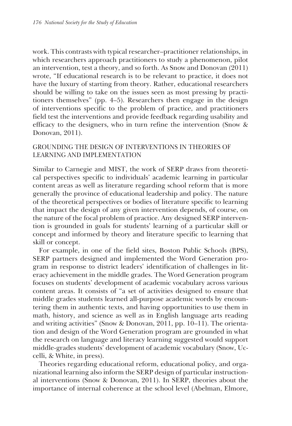work. This contrasts with typical researcher–practitioner relationships, in which researchers approach practitioners to study a phenomenon, pilot an intervention, test a theory, and so forth. As Snow and Donovan (2011) wrote, "If educational research is to be relevant to practice, it does not have the luxury of starting from theory. Rather, educational researchers should be willing to take on the issues seen as most pressing by practitioners themselves" (pp. 4–5). Researchers then engage in the design of interventions specific to the problem of practice, and practitioners field test the interventions and provide feedback regarding usability and efficacy to the designers, who in turn refine the intervention (Snow & Donovan, 2011).

# GROUNDING THE DESIGN OF INTERVENTIONS IN THEORIES OF LEARNING AND IMPLEMENTATION

Similar to Carnegie and MIST, the work of SERP draws from theoretical perspectives specific to individuals' academic learning in particular content areas as well as literature regarding school reform that is more generally the province of educational leadership and policy. The nature of the theoretical perspectives or bodies of literature specific to learning that impact the design of any given intervention depends, of course, on the nature of the focal problem of practice. Any designed SERP intervention is grounded in goals for students' learning of a particular skill or concept and informed by theory and literature specific to learning that skill or concept.

For example, in one of the field sites, Boston Public Schools (BPS), SERP partners designed and implemented the Word Generation program in response to district leaders' identification of challenges in literacy achievement in the middle grades. The Word Generation program focuses on students' development of academic vocabulary across various content areas. It consists of "a set of activities designed to ensure that middle grades students learned all-purpose academic words by encountering them in authentic texts, and having opportunities to use them in math, history, and science as well as in English language arts reading and writing activities" (Snow & Donovan, 2011, pp. 10–11). The orientation and design of the Word Generation program are grounded in what the research on language and literacy learning suggested would support middle-grades students' development of academic vocabulary (Snow, Uccelli, & White, in press).

Theories regarding educational reform, educational policy, and organizational learning also inform the SERP design of particular instructional interventions (Snow & Donovan, 2011). In SERP, theories about the importance of internal coherence at the school level (Abelman, Elmore,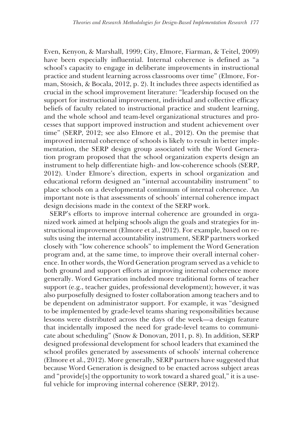Even, Kenyon, & Marshall, 1999; City, Elmore, Fiarman, & Teitel, 2009) have been especially influential. Internal coherence is defined as "a school's capacity to engage in deliberate improvements in instructional practice and student learning across classrooms over time" (Elmore, Forman, Stosich, & Bocala, 2012, p. 2). It includes three aspects identified as crucial in the school improvement literature: "leadership focused on the support for instructional improvement, individual and collective efficacy beliefs of faculty related to instructional practice and student learning, and the whole school and team-level organizational structures and processes that support improved instruction and student achievement over time" (SERP, 2012; see also Elmore et al., 2012). On the premise that improved internal coherence of schools is likely to result in better implementation, the SERP design group associated with the Word Generation program proposed that the school organization experts design an instrument to help differentiate high- and low-coherence schools (SERP, 2012). Under Elmore's direction, experts in school organization and educational reform designed an "internal accountability instrument" to place schools on a developmental continuum of internal coherence. An important note is that assessments of schools' internal coherence impact design decisions made in the context of the SERP work.

SERP's efforts to improve internal coherence are grounded in organized work aimed at helping schools align the goals and strategies for instructional improvement (Elmore et al., 2012). For example, based on results using the internal accountability instrument, SERP partners worked closely with "low coherence schools" to implement the Word Generation program and, at the same time, to improve their overall internal coherence. In other words, the Word Generation program served as a vehicle to both ground and support efforts at improving internal coherence more generally. Word Generation included more traditional forms of teacher support (e.g., teacher guides, professional development); however, it was also purposefully designed to foster collaboration among teachers and to be dependent on administrator support. For example, it was "designed to be implemented by grade-level teams sharing responsibilities because lessons were distributed across the days of the week—a design feature that incidentally imposed the need for grade-level teams to communicate about scheduling" (Snow & Donovan, 2011, p. 8). In addition, SERP designed professional development for school leaders that examined the school profiles generated by assessments of schools' internal coherence (Elmore et al., 2012). More generally, SERP partners have suggested that because Word Generation is designed to be enacted across subject areas and "provide[s] the opportunity to work toward a shared goal," it is a useful vehicle for improving internal coherence (SERP, 2012).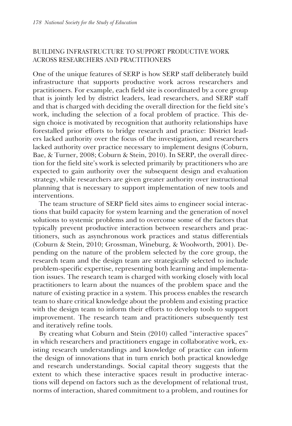# BUILDING INFRASTRUCTURE TO SUPPORT PRODUCTIVE WORK ACROSS RESEARCHERS AND PRACTITIONERS

One of the unique features of SERP is how SERP staff deliberately build infrastructure that supports productive work across researchers and practitioners. For example, each field site is coordinated by a core group that is jointly led by district leaders, lead researchers, and SERP staff and that is charged with deciding the overall direction for the field site's work, including the selection of a focal problem of practice. This design choice is motivated by recognition that authority relationships have forestalled prior efforts to bridge research and practice: District leaders lacked authority over the focus of the investigation, and researchers lacked authority over practice necessary to implement designs (Coburn, Bae, & Turner, 2008; Coburn & Stein, 2010). In SERP, the overall direction for the field site's work is selected primarily by practitioners who are expected to gain authority over the subsequent design and evaluation strategy, while researchers are given greater authority over instructional planning that is necessary to support implementation of new tools and interventions.

The team structure of SERP field sites aims to engineer social interactions that build capacity for system learning and the generation of novel solutions to systemic problems and to overcome some of the factors that typically prevent productive interaction between researchers and practitioners, such as asynchronous work practices and status differentials (Coburn & Stein, 2010; Grossman, Wineburg, & Woolworth, 2001). Depending on the nature of the problem selected by the core group, the research team and the design team are strategically selected to include problem-specific expertise, representing both learning and implementation issues. The research team is charged with working closely with local practitioners to learn about the nuances of the problem space and the nature of existing practice in a system. This process enables the research team to share critical knowledge about the problem and existing practice with the design team to inform their efforts to develop tools to support improvement. The research team and practitioners subsequently test and iteratively refine tools.

By creating what Coburn and Stein (2010) called "interactive spaces" in which researchers and practitioners engage in collaborative work, existing research understandings and knowledge of practice can inform the design of innovations that in turn enrich both practical knowledge and research understandings. Social capital theory suggests that the extent to which these interactive spaces result in productive interactions will depend on factors such as the development of relational trust, norms of interaction, shared commitment to a problem, and routines for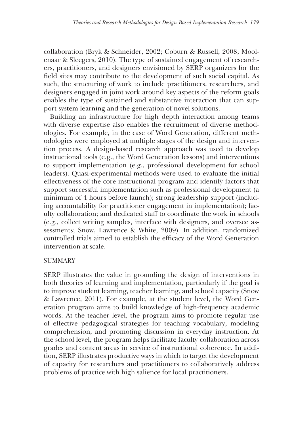collaboration (Bryk & Schneider, 2002; Coburn & Russell, 2008; Moolenaar & Sleegers, 2010). The type of sustained engagement of researchers, practitioners, and designers envisioned by SERP organizers for the field sites may contribute to the development of such social capital. As such, the structuring of work to include practitioners, researchers, and designers engaged in joint work around key aspects of the reform goals enables the type of sustained and substantive interaction that can support system learning and the generation of novel solutions.

Building an infrastructure for high depth interaction among teams with diverse expertise also enables the recruitment of diverse methodologies. For example, in the case of Word Generation, different methodologies were employed at multiple stages of the design and intervention process. A design-based research approach was used to develop instructional tools (e.g., the Word Generation lessons) and interventions to support implementation (e.g., professional development for school leaders). Quasi-experimental methods were used to evaluate the initial effectiveness of the core instructional program and identify factors that support successful implementation such as professional development (a minimum of 4 hours before launch); strong leadership support (including accountability for practitioner engagement in implementation); faculty collaboration; and dedicated staff to coordinate the work in schools (e.g., collect writing samples, interface with designers, and oversee assessments; Snow, Lawrence & White, 2009). In addition, randomized controlled trials aimed to establish the efficacy of the Word Generation intervention at scale.

# **SUMMARY**

SERP illustrates the value in grounding the design of interventions in both theories of learning and implementation, particularly if the goal is to improve student learning, teacher learning, and school capacity (Snow & Lawrence, 2011). For example, at the student level, the Word Generation program aims to build knowledge of high-frequency academic words. At the teacher level, the program aims to promote regular use of effective pedagogical strategies for teaching vocabulary, modeling comprehension, and promoting discussion in everyday instruction. At the school level, the program helps facilitate faculty collaboration across grades and content areas in service of instructional coherence. In addition, SERP illustrates productive ways in which to target the development of capacity for researchers and practitioners to collaboratively address problems of practice with high salience for local practitioners.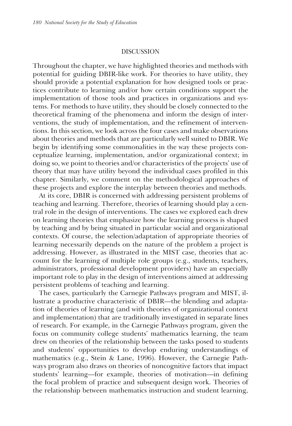#### DISCUSSION

Throughout the chapter, we have highlighted theories and methods with potential for guiding DBIR-like work. For theories to have utility, they should provide a potential explanation for how designed tools or practices contribute to learning and/or how certain conditions support the implementation of those tools and practices in organizations and systems. For methods to have utility, they should be closely connected to the theoretical framing of the phenomena and inform the design of interventions, the study of implementation, and the refinement of interventions. In this section, we look across the four cases and make observations about theories and methods that are particularly well suited to DBIR. We begin by identifying some commonalities in the way these projects conceptualize learning, implementation, and/or organizational context; in doing so, we point to theories and/or characteristics of the projects' use of theory that may have utility beyond the individual cases profiled in this chapter. Similarly, we comment on the methodological approaches of these projects and explore the interplay between theories and methods.

At its core, DBIR is concerned with addressing persistent problems of teaching and learning. Therefore, theories of learning should play a central role in the design of interventions. The cases we explored each drew on learning theories that emphasize how the learning process is shaped by teaching and by being situated in particular social and organizational contexts. Of course, the selection/adaptation of appropriate theories of learning necessarily depends on the nature of the problem a project is addressing. However, as illustrated in the MIST case, theories that account for the learning of multiple role groups (e.g., students, teachers, administrators, professional development providers) have an especially important role to play in the design of interventions aimed at addressing persistent problems of teaching and learning.

The cases, particularly the Carnegie Pathways program and MIST, illustrate a productive characteristic of DBIR—the blending and adaptation of theories of learning (and with theories of organizational context and implementation) that are traditionally investigated in separate lines of research. For example, in the Carnegie Pathways program, given the focus on community college students' mathematics learning, the team drew on theories of the relationship between the tasks posed to students and students' opportunities to develop enduring understandings of mathematics (e.g., Stein & Lane, 1996). However, the Carnegie Pathways program also draws on theories of noncognitive factors that impact students' learning—for example, theories of motivation—in defining the focal problem of practice and subsequent design work. Theories of the relationship between mathematics instruction and student learning,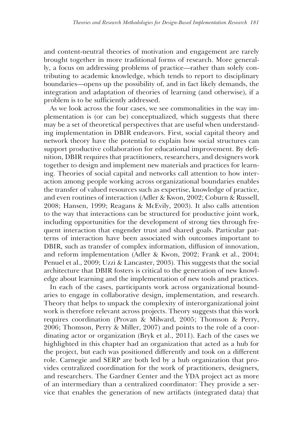and content-neutral theories of motivation and engagement are rarely brought together in more traditional forms of research. More generally, a focus on addressing problems of practice—rather than solely contributing to academic knowledge, which tends to report to disciplinary boundaries—opens up the possibility of, and in fact likely demands, the integration and adaptation of theories of learning (and otherwise), if a problem is to be sufficiently addressed.

As we look across the four cases, we see commonalities in the way implementation is (or can be) conceptualized, which suggests that there may be a set of theoretical perspectives that are useful when understanding implementation in DBIR endeavors. First, social capital theory and network theory have the potential to explain how social structures can support productive collaboration for educational improvement. By definition, DBIR requires that practitioners, researchers, and designers work together to design and implement new materials and practices for learning. Theories of social capital and networks call attention to how interaction among people working across organizational boundaries enables the transfer of valued resources such as expertise, knowledge of practice, and even routines of interaction (Adler & Kwon, 2002; Coburn & Russell, 2008; Hansen, 1999; Reagans & McEvily, 2003). It also calls attention to the way that interactions can be structured for productive joint work, including opportunities for the development of strong ties through frequent interaction that engender trust and shared goals. Particular patterns of interaction have been associated with outcomes important to DBIR, such as transfer of complex information, diffusion of innovation, and reform implementation (Adler & Kwon, 2002; Frank et al., 2004; Penuel et al., 2009; Uzzi & Lancaster, 2003). This suggests that the social architecture that DBIR fosters is critical to the generation of new knowledge about learning and the implementation of new tools and practices.

In each of the cases, participants work across organizational boundaries to engage in collaborative design, implementation, and research. Theory that helps to unpack the complexity of interorganizational joint work is therefore relevant across projects. Theory suggests that this work requires coordination (Provan & Milward, 2005; Thomson & Perry, 2006; Thomson, Perry & Miller, 2007) and points to the role of a coordinating actor or organization (Bryk et al., 2011). Each of the cases we highlighted in this chapter had an organization that acted as a hub for the project, but each was positioned differently and took on a different role. Carnegie and SERP are both led by a hub organization that provides centralized coordination for the work of practitioners, designers, and researchers. The Gardner Center and the YDA project act as more of an intermediary than a centralized coordinator: They provide a service that enables the generation of new artifacts (integrated data) that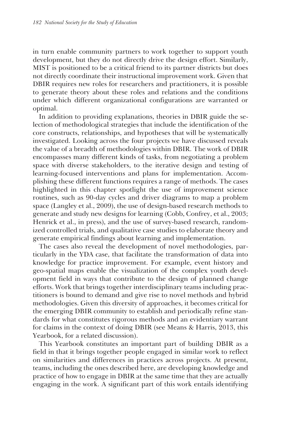in turn enable community partners to work together to support youth development, but they do not directly drive the design effort. Similarly, MIST is positioned to be a critical friend to its partner districts but does not directly coordinate their instructional improvement work. Given that DBIR requires new roles for researchers and practitioners, it is possible to generate theory about these roles and relations and the conditions under which different organizational configurations are warranted or optimal.

In addition to providing explanations, theories in DBIR guide the selection of methodological strategies that include the identification of the core constructs, relationships, and hypotheses that will be systematically investigated. Looking across the four projects we have discussed reveals the value of a breadth of methodologies within DBIR. The work of DBIR encompasses many different kinds of tasks, from negotiating a problem space with diverse stakeholders, to the iterative design and testing of learning-focused interventions and plans for implementation. Accomplishing these different functions requires a range of methods. The cases highlighted in this chapter spotlight the use of improvement science routines, such as 90-day cycles and driver diagrams to map a problem space (Langley et al., 2009), the use of design-based research methods to generate and study new designs for learning (Cobb, Confrey, et al., 2003; Henrick et al., in press), and the use of survey-based research, randomized controlled trials, and qualitative case studies to elaborate theory and generate empirical findings about learning and implementation.

The cases also reveal the development of novel methodologies, particularly in the YDA case, that facilitate the transformation of data into knowledge for practice improvement. For example, event history and geo-spatial maps enable the visualization of the complex youth development field in ways that contribute to the design of planned change efforts. Work that brings together interdisciplinary teams including practitioners is bound to demand and give rise to novel methods and hybrid methodologies. Given this diversity of approaches, it becomes critical for the emerging DBIR community to establish and periodically refine standards for what constitutes rigorous methods and an evidentiary warrant for claims in the context of doing DBIR (see Means & Harris, 2013, this Yearbook, for a related discussion).

This Yearbook constitutes an important part of building DBIR as a field in that it brings together people engaged in similar work to reflect on similarities and differences in practices across projects. At present, teams, including the ones described here, are developing knowledge and practice of how to engage in DBIR at the same time that they are actually engaging in the work. A significant part of this work entails identifying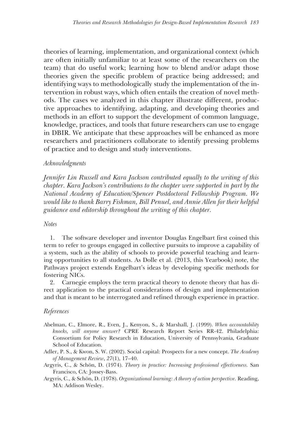theories of learning, implementation, and organizational context (which are often initially unfamiliar to at least some of the researchers on the team) that do useful work; learning how to blend and/or adapt those theories given the specific problem of practice being addressed; and identifying ways to methodologically study the implementation of the intervention in robust ways, which often entails the creation of novel methods. The cases we analyzed in this chapter illustrate different, productive approaches to identifying, adapting, and developing theories and methods in an effort to support the development of common language, knowledge, practices, and tools that future researchers can use to engage in DBIR. We anticipate that these approaches will be enhanced as more researchers and practitioners collaborate to identify pressing problems of practice and to design and study interventions.

# *Acknowledgments*

*Jennifer Lin Russell and Kara Jackson contributed equally to the writing of this chapter. Kara Jackson's contributions to the chapter were supported in part by the National Academy of Education/Spencer Postdoctoral Fellowship Program. We would like to thank Barry Fishman, Bill Penuel, and Annie Allen for their helpful guidance and editorship throughout the writing of this chapter.* 

#### *Notes*

1. The software developer and inventor Douglas Engelbart first coined this term to refer to groups engaged in collective pursuits to improve a capability of a system, such as the ability of schools to provide powerful teaching and learning opportunities to all students. As Dolle et al. (2013, this Yearbook) note, the Pathways project extends Engelbart's ideas by developing specific methods for fostering NICs.

2. Carnegie employs the term practical theory to denote theory that has direct application to the practical considerations of design and implementation and that is meant to be interrogated and refined through experience in practice.

# *References*

- Abelman, C., Elmore, R., Even, J., Kenyon, S., & Marshall, J. (1999). *When accountability knocks, will anyone answer?* CPRE Research Report Series RR-42. Philadelphia: Consortium for Policy Research in Education, University of Pennsylvania, Graduate School of Education.
- Adler, P. S., & Kwon, S. W. (2002). Social capital: Prospects for a new concept. *The Academy of Management Review*, *27*(1), 17–40.
- Argyris, C., & Schön, D. (1974). *Theory in practice: Increasing professional effectiveness.* San Francisco, CA: Jossey-Bass.
- Argyris, C., & Schön, D. (1978). *Organizational learning: A theory of action perspective.* Reading, MA: Addison Wesley.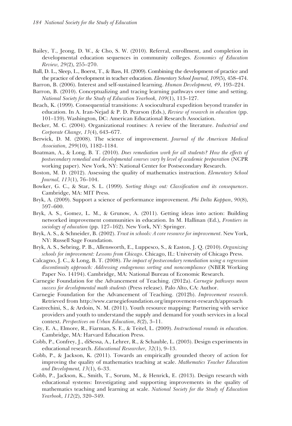- Bailey, T., Jeong, D. W., & Cho, S. W. (2010). Referral, enrollment, and completion in developmental education sequences in community colleges. *Economics of Education Review, 29*(2), 255–270.
- Ball, D. L., Sleep, L., Boerst, T., & Bass, H. (2009). Combining the development of practice and the practice of development in teacher education. *Elementary School Journal, 109*(5), 458–474.

Barron, B. (2006). Interest and self-sustained learning. *Human Development, 49*, 193–224.

- Barron, B. (2010). Conceptualizing and tracing learning pathways over time and setting. *National Society for the Study of Education Yearbook, 109*(1), 113–127.
- Beach, K. (1999). Consequential transitions: A sociocultural expedition beyond transfer in education. In A. Iran-Nejad & P. D. Pearson (Eds.), *Review of research in education* (pp. 101–139). Washington, DC: American Educational Research Association.
- Becker, M. C. (2004). Organizational routines: A review of the literature. *Industrial and Corporate Change, 13*(4), 643–677.
- Berwick, D. M. (2008). The science of improvement. *Journal of the American Medical Association, 299*(10), 1182–1184.
- Boatman, A., & Long, B. T. (2010). *Does remediation work for all students? How the effects of postsecondary remedial and developmental courses vary by level of academic preparation* (NCPR working paper). New York, NY: National Center for Postsecondary Research.
- Boston, M. D. (2012). Assessing the quality of mathematics instruction. *Elementary School Journal, 113*(1), 76–104.
- Bowker, G. C., & Star, S. L. (1999). *Sorting things out: Classification and its consequences*. Cambridge, MA: MIT Press.
- Bryk, A. (2009). Support a science of performance improvement. *Phi Delta Kappan*, *90*(8), 597–600.
- Bryk, A. S., Gomez, L. M., & Grunow, A. (2011). Getting ideas into action: Building networked improvement communities in education. In M. Hallinan (Ed.), *Frontiers in sociology of education* (pp. 127–162). New York, NY: Springer.
- Bryk, A. S., & Schneider, B. (2002). *Trust in schools: A core resource for improvement*. New York, NY: Russell Sage Foundation.
- Bryk, A. S., Sebring, P. B., Allensworth, E., Luppesco, S., & Easton, J. Q. (2010). *Organizing schools for improvement: Lessons from Chicago*. Chicago, IL: University of Chicago Press.
- Calcagno, J. C., & Long, B. T. (2008). *The impact of postsecondary remediation using a regression discontinuity approach: Addressing endogenous sorting and noncompliance* (NBER Working Paper No. 14194). Cambridge, MA: National Bureau of Economic Research.
- Carnegie Foundation for the Advancement of Teaching. (2012a). *Carnegie pathways mean success for developmental math students* (Press release). Palo Alto, CA: Author.
- Carnegie Foundation for the Advancement of Teaching. (2012b). *Improvement research.* Retrieved from http://www.carnegiefoundation.org/improvement-research/approach
- Castrechini, S., & Ardoin, N. M. (2011). Youth resource mapping: Partnering with service providers and youth to understand the supply and demand for youth services in a local context. *Perspectives on Urban Education*, *8*(2), 3–11.
- City, E. A., Elmore, R., Fiarman, S. E., & Teitel, L. (2009). *Instructional rounds in education.* Cambridge, MA: Harvard Education Press.
- Cobb, P., Confrey, J., diSessa, A., Lehrer, R., & Schauble, L. (2003). Design experiments in educational research. *Educational Researcher, 32*(1), 9–13.
- Cobb, P., & Jackson, K. (2011). Towards an empirically grounded theory of action for improving the quality of mathematics teaching at scale. *Mathematics Teacher Education and Development, 13*(1), 6–33.
- Cobb, P., Jackson, K., Smith, T., Sorum, M., & Henrick, E. (2013). Design research with educational systems: Investigating and supporting improvements in the quality of mathematics teaching and learning at scale. *National Society for the Study of Education Yearbook*, *112*(2), 320–349.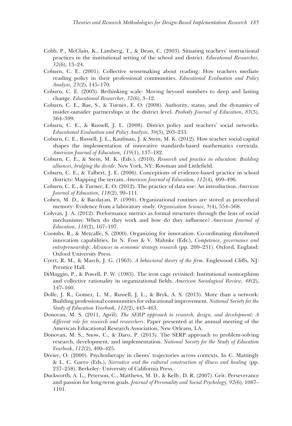- Cobb, P., McClain, K., Lamberg, T., & Dean, C. (2003). Situating teachers' instructional practices in the institutional setting of the school and district. *Educational Researcher, 32*(6), 13–24.
- Coburn, C. E. (2001). Collective sensemaking about reading: How teachers mediate reading policy in their professional communities. *Educational Evaluation and Policy Analysis, 23*(2), 145–170.
- Coburn, C. E. (2003). Rethinking scale: Moving beyond numbers to deep and lasting change. *Educational Researcher, 32*(6), 3–12.
- Coburn, C. E., Bae, S., & Turner, E. O. (2008). Authority, status, and the dynamics of insider-outsider partnerships at the district level. *Peabody Journal of Education*, *83*(3), 364–399.
- Coburn, C. E., & Russell, J. L. (2008). District policy and teachers' social networks. *Educational Evaluation and Policy Analysis, 30*(3), 203–235.
- Coburn, C. E., Russell, J. L., Kaufman, J. & Stein, M. K. (2012). How teacher social capital shapes the implementation of innovative standards-based mathematics curricula. *American Journal of Education, 119*(1), 137–182.
- Coburn, C. E., & Stein, M. K. (Eds.). (2010). *Research and practice in education: Building alliances, bridging the divide*. New York, NY: Rowman and Littlefield.
- Coburn, C. E., & Talbert, J. E. (2006). Conceptions of evidence-based practice in school districts: Mapping the terrain. *American Journal of Education, 112*(4), 469–496.
- Coburn, C. E., & Turner, E. O. (2012). The practice of data use: An introduction. *American Journal of Education, 118*(2), 99–111.
- Cohen, M. D., & Bacdayan, P. (1994). Organizational routines are stored as procedural memory: Evidence from a laboratory study. *Organization Science, 5*(4), 554–568.
- Colyvas, J. A. (2012). Performance metrics as formal structures through the lens of social mechanisms: When do they work and how do they influence? *American Journal of Education, 118*(2), 167–197.
- Coombs, R., & Metcalfe, S. (2000). Organizing for innovation: Co-ordinating distributed innovation capabilities. In N. Foss & V. Mahnke (Eds.), *Competence, governance and entrepreneurship: Advances in economic strategy research* (pp. 209–231). Oxford, England: Oxford University Press.
- Cyert, R. M., & March, J. G. (1963). *A behavioral theory of the firm*. Englewood Cliffs, NJ: Prentice Hall.
- DiMaggio, P., & Powell, P. W. (1983). The iron cage revisited: Institutional isomorphism and collective rationality in organizational fields. *American Sociological Review, 48*(2), 147–160.
- Dolle, J. R., Gomez, L. M., Russell, J. L., & Bryk, A. S. (2013). More than a network: Building professional communities for educational improvement. *National Society for the Study of Education Yearbook*, *112*(2), 443–463.
- Donovan, M. S. (2011, April). *The SERP approach to research, design, and development: A different role for research and researchers*. Paper presented at the annual meeting of the American Educational Research Association, New Orleans, LA.
- Donovan, M. S., Snow, C., & Daro, P. (2013). The SERP approach to problem-solving research, development, and implementation. *National Society for the Study of Education Yearbook*, *112*(2), 400–425.
- Dreier, O. (2000). Psychotherapy in clients' trajectories across contexts. In C. Mattingly & L. C. Garro (Eds.), *Narrative and the cultural construction of illness and healing* (pp. 237–258). Berkeley: University of California Press.
- Duckworth, A. L., Peterson, C., Matthews, M. D., & Kelly, D. R. (2007). Grit: Perseverance and passion for long-term goals. *Journal of Personality and Social Psychology, 92*(6), 1087– 1101.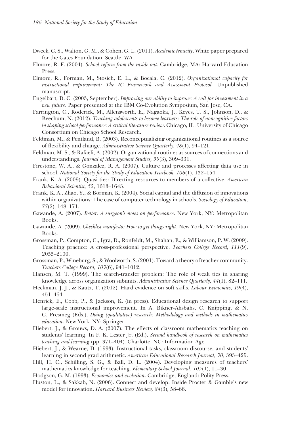- Dweck, C. S., Walton, G. M., & Cohen, G. L. (2011). *Academic tenacity*. White paper prepared for the Gates Foundation, Seattle, WA.
- Elmore, R. F. (2004). *School reform from the inside out*. Cambridge, MA: Harvard Education Press.
- Elmore, R., Forman, M., Stosich, E. L., & Bocala, C. (2012). *Organizational capacity for instructional improvement: The IC Framework and Assessment Protocol.* Unpublished manuscript.
- Engelbart, D. C. (2003, September). *Improving our ability to improve: A call for investment in a new future*. Paper presented at the IBM Co-Evolution Symposium, San Jose, CA.
- Farrington, C., Roderick, M., Allensworth, E., Nagaoka, J., Keyes, T. S., Johnson, D., & Beechum, N. (2012). *Teaching adolescents to become learners: The role of noncognitive factors in shaping school performance: A critical literature review*. Chicago, IL: University of Chicago Consortium on Chicago School Research.
- Feldman, M., & Pentland, B. (2003). Reconceptualizing organizational routines as a source of flexibility and change. *Administrative Science Quarterly, 48*(1), 94–121.
- Feldman, M. S., & Rafaeli, A. (2002). Organizational routines as sources of connections and understandings. *Journal of Management Studies, 39*(3), 309–331.
- Firestone, W. A., & Gonzalez, R. A. (2007). Culture and processes affecting data use in school. *National Society for the Study of Education Yearbook, 106*(1), 132–154.
- Frank, K. A. (2009). Quasi-ties: Directing resources to members of a collective. *American Behavioral Scientist, 52*, 1613–1645.
- Frank, K. A., Zhao, Y., & Borman, K. (2004). Social capital and the diffusion of innovations within organizations: The case of computer technology in schools. *Sociology of Education, 77*(2), 148–171.
- Gawande, A. (2007). *Better: A surgeon's notes on performance*. New York, NY: Metropolitan Books.
- Gawande, A. (2009). *Checklist manifesto: How to get things right*. New York, NY: Metropolitan Books.
- Grossman, P., Compton, C., Igra, D., Ronfeldt, M., Shahan, E., & Williamson, P. W. (2009). Teaching practice: A cross-professional perspective. *Teachers College Record, 111*(9), 2055–2100.
- Grossman, P., Wineburg, S., & Woolworth, S. (2001). Toward a theory of teacher community. *Teachers College Record, 103*(6), 941–1012.
- Hansen, M. T. (1999). The search-transfer problem: The role of weak ties in sharing knowledge across organization subunits. *Administrative Science Quarterly, 44*(1), 82–111.
- Heckman, J. J., & Kautz, T. (2012). Hard evidence on soft skills. *Labour Economics, 19*(4), 451–464.
- Henrick, E., Cobb, P., & Jackson, K. (in press). Educational design research to support large-scale instructional improvement. In A. Bikner-Ahsbahs, C. Knipping, & N. C. Presmeg (Eds.), *Doing (qualitative) research: Methodology and methods in mathematics education*. New York, NY: Springer.
- Hiebert, J., & Grouws, D. A. (2007). The effects of classroom mathematics teaching on students' learning. In F. K. Lester Jr. (Ed.), *Second handbook of research on mathematics teaching and learning* (pp. 371–404). Charlotte, NC: Information Age.
- Hiebert, J., & Wearne, D. (1993). Instructional tasks, classroom discourse, and students' learning in second grad arithmetic. *American Educational Research Journal, 30*, 393–425.
- Hill, H. C., Schilling, S. G., & Ball, D. L. (2004). Developing measures of teachers' mathematics knowledge for teaching. *Elementary School Journal, 105*(1), 11–30.
- Hodgson, G. M. (1993), *Economics and evolution*. Cambridge, England: Polity Press.
- Huston, L., & Sakkab, N. (2006). Connect and develop: Inside Procter & Gamble's new model for innovation. *Harvard Business Review, 84*(3), 58–66.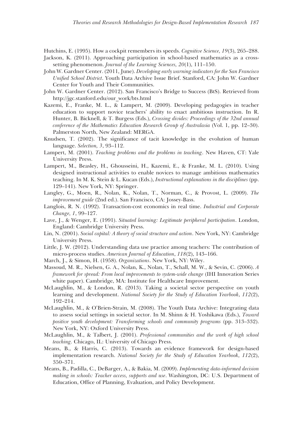Hutchins, E. (1995). How a cockpit remembers its speeds. *Cognitive Science, 19*(3), 265–288.

- Jackson, K. (2011). Approaching participation in school-based mathematics as a crosssetting phenomenon. *Journal of the Learning Sciences, 20*(1), 111–150.
- John W. Gardner Center. (2011, June). *Developing early warning indicators for the San Francisco Unified School District*. Youth Data Archive Issue Brief. Stanford, CA: John W. Gardner Center for Youth and Their Communities.
- John W. Gardner Center. (2012). San Francisco's Bridge to Success (BtS). Retrieved from http://jgc.stanford.edu/our\_work/bts.html
- Kazemi, E., Franke, M. L., & Lampert, M. (2009). Developing pedagogies in teacher education to support novice teachers' ability to enact ambitious instruction. In R. Hunter, B. Bicknell, & T. Burgess (Eds.), *Crossing divides: Proceedings of the 32nd annual conference of the Mathematics Education Research Group of Australasia* (Vol. 1, pp. 12–30). Palmerston North, New Zealand: MERGA.
- Knudsen, T. (2002). The significance of tacit knowledge in the evolution of human language. *Selection, 3*, 93–112.
- Lampert, M. (2001). *Teaching problems and the problems in teaching*. New Haven, CT: Yale University Press.
- Lampert, M., Beasley, H., Ghousseini, H., Kazemi, E., & Franke, M. L. (2010). Using designed instructional activities to enable novices to manage ambitious mathematics teaching. In M. K. Stein & L. Kucan (Eds.), *Instructional explanations in the disciplines* (pp. 129–141). New York, NY: Springer.
- Langley, G., Moen, R., Nolan, K., Nolan, T., Norman, C., & Provost, L. (2009). *The improvement guide* (2nd ed.). San Francisco, CA: Jossey-Bass.
- Langlois, R. N. (1992). Transaction-cost economics in real time. *Industrial and Corporate Change, 1*, 99–127.
- Lave, J., & Wenger, E. (1991). *Situated learning: Legitimate peripheral participation*. London, England: Cambridge University Press.
- Lin, N. (2001). *Social capital: A theory of social structure and action*. New York, NY: Cambridge University Press.
- Little, J. W. (2012). Understanding data use practice among teachers: The contribution of micro-process studies. *American Journal of Education*, *118*(2), 143–166.
- March, J., & Simon, H. (1958). *Organizations*. New York, NY: Wiley.
- Massoud, M. R., Nielsen, G. A., Nolan, K., Nolan, T., Schall, M. W., & Sevin, C. (2006). *A framework for spread: From local improvements to system-wide change* (IHI Innovation Series white paper). Cambridge, MA: Institute for Healthcare Improvement.
- McLaughlin, M., & London, R. (2013). Taking a societal sector perspective on youth learning and development. *National Society for the Study of Education Yearbook*, *112*(2), 192–214.
- McLaughlin, M., & O'Brien-Strain, M. (2008). The Youth Data Archive: Integrating data to assess social settings in societal sector. In M. Shinn & H. Yoshikawa (Eds.), *Toward positive youth development: Transforming schools and community programs* (pp. 313–332). New York, NY: Oxford University Press.
- McLaughlin, M., & Talbert, J. (2001). *Professional communities and the work of high school teaching.* Chicago, IL: University of Chicago Press.
- Means, B., & Harris, C. (2013). Towards an evidence framework for design-based implementation research. *National Society for the Study of Education Yearbook*, *112*(2), 350–371.
- Means, B., Padilla, C., DeBarger, A., & Bakia, M. (2009). *Implementing data-informed decision making in schools: Teacher access, supports and use*. Washington, DC: U.S. Department of Education, Office of Planning, Evaluation, and Policy Development.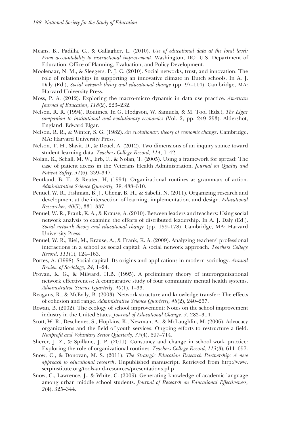- Means, B., Padilla, C., & Gallagher, L. (2010). *Use of educational data at the local level: From accountability to instructional improvement*. Washington, DC: U.S. Department of Education, Office of Planning, Evaluation, and Policy Development.
- Moolenaar, N. M., & Sleegers, P. J. C. (2010). Social networks, trust, and innovation: The role of relationships in supporting an innovative climate in Dutch schools. In A. J. Daly (Ed.), *Social network theory and educational change* (pp. 97–114). Cambridge, MA: Harvard University Press.
- Moss, P. A. (2012). Exploring the macro-micro dynamic in data use practice. *American Journal of Education*, *118*(2), 223–232.
- Nelson, R. R. (1994). Routines. In G. Hodgson, W. Samuels, & M. Tool (Eds.), *The Elgar companion to institutional and evolutionary economics* (Vol. 2, pp. 249–253). Aldershot, England: Edward Elgar.
- Nelson, R. R., & Winter, S. G. (1982). *An evolutionary theory of economic change*. Cambridge, MA: Harvard University Press.
- Nelson, T. H., Slavit, D., & Deuel, A. (2012). Two dimensions of an inquiry stance toward student-learning data. *Teachers College Record*, *114*, 1–42.
- Nolan, K., Schall, M. W., Erb, F., & Nolan, T. (2005). Using a framework for spread: The case of patient access in the Veterans Health Administration. *Journal on Quality and Patient Safety, 31*(6), 339–347.
- Pentland, B. T., & Reuter, H, (1994). Organizational routines as grammars of action. *Administrative Science Quarterly, 39*, 488–510.
- Penuel, W. R., Fishman, B. J., Cheng, B. H., & Sabelli, N. (2011). Organizing research and development at the intersection of learning, implementation, and design. *Educational Researcher, 40*(7), 331–337.
- Penuel, W. R., Frank, K. A., & Krause, A. (2010). Between leaders and teachers: Using social network analysis to examine the effects of distributed leadership. In A. J. Daly (Ed.), *Social network theory and educational change* (pp. 159–178). Cambridge, MA: Harvard University Press.
- Penuel, W. R., Riel, M., Krause, A., & Frank, K. A. (2009). Analyzing teachers' professional interactions in a school as social capital: A social network approach. *Teachers College Record, 111*(1), 124–163.
- Portes, A. (1998). Social capital: Its origins and applications in modern sociology. *Annual Review of Sociology, 24*, 1–24.
- Provan, K. G., & Milward, H.B. (1995). A preliminary theory of interorganizational network effectiveness: A comparative study of four community mental health systems. *Administrative Science Quarterly, 40*(1), 1–33.
- Reagans, R., & McEvily, B. (2003). Network structure and knowledge transfer: The effects of cohesion and range. *Administrative Science Quarterly, 48*(2), 240–267.
- Rowan, B. (2002). The ecology of school improvement: Notes on the school improvement industry in the United States. *Journal of Educational Change*, *3*, 283–314.
- Scott, W. R., Deschenes, S., Hopkins, K., Newman, A., & McLaughlin, M. (2006). Advocacy organizations and the field of youth services: Ongoing efforts to restructure a field. *Nonprofit and Voluntary Sector Quarterly, 35*(4), 697–714.
- Sherer, J. Z., & Spillane, J. P. (2011). Constancy and change in school work practice: Exploring the role of organizational routines. *Teachers College Record, 113*(3), 611–657.
- Snow, C., & Donovan, M. S. (2011). *The Strategic Education Research Partnership: A new approach to educational research*. Unpublished manuscript. Retrieved from http://www. serpinstitute.org/tools-and-resources/presentations.php
- Snow, C., Lawrence, J., & White, C. (2009). Generating knowledge of academic language among urban middle school students. *Journal of Research on Educational Effectiveness, 2*(4), 325–344.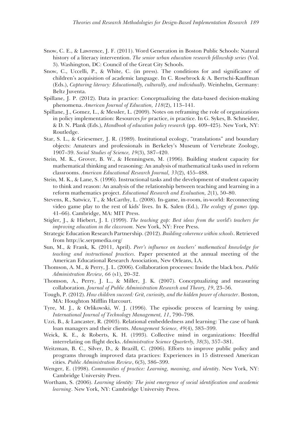- Snow, C. E., & Lawrence, J. F. (2011). Word Generation in Boston Public Schools: Natural history of a literacy intervention. *The senior urban education research fellowship series* (Vol. 3). Washington, DC: Council of the Great City Schools.
- Snow, C., Uccelli, P., & White, C. (in press). The conditions for and significance of children's acquisition of academic language. In C. Rosebrock & A. Bertschi-Kauffman (Eds.), *Capturing literacy: Educationally, culturally, and individually*. Weinhelm, Germany: Beltz Juventa.
- Spillane, J. P. (2012). Data in practice: Conceptualizing the data-based decision-making phenomena. *American Journal of Education, 118*(2), 113–141.
- Spillane, J., Gomez, L., & Messler, L. (2009). Notes on reframing the role of organizations in policy implementation: Resources *for* practice, *in* practice. In G. Sykes, B. Schneider, & D. N. Plank (Eds.), *Handbook of education policy research* (pp. 409–425). New York, NY: Routledge.
- Star, S. L., & Griesemer, J. R. (1989). Institutional ecology, "translations" and boundary objects: Amateurs and professionals in Berkeley's Museum of Vertebrate Zoology, 1907–39. *Social Studies of Science, 19*(3), 387–420.
- Stein, M. K., Grover, B. W., & Henningsen, M. (1996). Building student capacity for mathematical thinking and reasoning: An analysis of mathematical tasks used in reform classrooms. *American Educational Research Journal, 33*(2), 455–488.
- Stein, M. K., & Lane, S. (1996). Instructional tasks and the development of student capacity to think and reason: An analysis of the relationship between teaching and learning in a reform mathematics project. *Educational Research and Evaluation, 2*(1), 50–80.
- Stevens, R., Satwicz, T., & McCarthy, L. (2008). In-game, in-room, in-world: Reconnecting video game play to the rest of kids' lives. In K. Salen (Ed.), *The ecology of games* (pp. 41–66). Cambridge, MA: MIT Press.
- Stigler, J., & Hiebert, J. I. (1999). *The teaching gap: Best ideas from the world's teachers for improving education in the classroom.* New York, NY: Free Press.
- Strategic Education Research Partnership. (2012). *Building coherence within schools*. Retrieved from http://ic.serpmedia.org/
- Sun, M., & Frank, K. (2011, April). *Peer's influence on teachers' mathematical knowledge for teaching and instructional practices.* Paper presented at the annual meeting of the American Educational Research Association, New Orleans, LA.
- Thomson, A. M., & Perry, J. L. (2006). Collaboration processes: Inside the black box. *Public Administration Review, 66* (s1), 20–32.
- Thomson, A., Perry, J. L., & Miller, J. K. (2007). Conceptualizing and measuring collaboration. *Journal of Public Administration Research and Theory, 19*, 23–56.
- Tough, P. (2012). *How children succeed: Grit, curiosity, and the hidden power of character*. Boston, MA: Houghton Mifflin Harcourt.
- Tyre, M. J., & Orlikowski, W. J. (1996). The episodic process of learning by using. *International Journal of Technology Management, 11*, 790–798.
- Uzzi, B., & Lancaster, R. (2003). Relational embeddedness and learning: The case of bank loan managers and their clients. *Management Science, 49*(4), 383–399.
- Weick, K. E., & Roberts, K. H. (1993). Collective mind in organizations: Heedful interrelating on flight decks. *Administrative Science Quarterly, 38*(3), 357–381.
- Weitzman, B. C., Silver, D., & Brazill, C. (2006). Efforts to improve public policy and programs through improved data practices: Experiences in 15 distressed American cities. *Public Administration Review*, 6(3), 386–399.
- Wenger, E. (1998). *Communities of practice: Learning, meaning, and identity*. New York, NY: Cambridge University Press.
- Wortham, S. (2006). *Learning identity: The joint emergence of social identification and academic learning*. New York, NY: Cambridge University Press.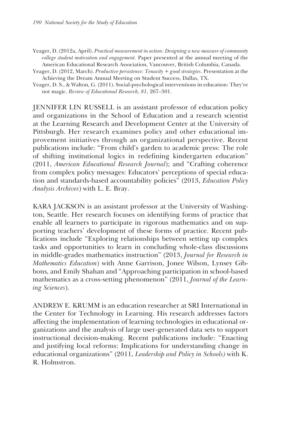Yeager, D. (2012a, April). *Practical measurement in action: Designing a new measure of community college student motivation and engagement.* Paper presented at the annual meeting of the American Educational Research Association, Vancouver, British Columbia, Canada.

- Yeager, D. (2012, March). *Productive persistence: Tenacity + good strategies*. Presentation at the Achieving the Dream Annual Meeting on Student Success, Dallas, TX.
- Yeager, D. S., & Walton, G. (2011). Social-psychological interventions in education: They're not magic. *Review of Educational Research, 81*, 267–301.

JENNIFER LIN RUSSELL is an assistant professor of education policy and organizations in the School of Education and a research scientist at the Learning Research and Development Center at the University of Pittsburgh. Her research examines policy and other educational improvement initiatives through an organizational perspective. Recent publications include: "From child's garden to academic press: The role of shifting institutional logics in redefining kindergarten education" (2011, *American Educational Research Journal*); and "Crafting coherence from complex policy messages: Educators' perceptions of special education and standards-based accountability policies" (2013, *Education Policy Analysis Archives*) with L. E. Bray.

KARA JACKSON is an assistant professor at the University of Washington, Seattle. Her research focuses on identifying forms of practice that enable all learners to participate in rigorous mathematics and on supporting teachers' development of these forms of practice. Recent publications include "Exploring relationships between setting up complex tasks and opportunities to learn in concluding whole-class discussions in middle-grades mathematics instruction" (2013, *Journal for Research in Mathematics Education*) with Anne Garrison, Jonee Wilson, Lynsey Gibbons, and Emily Shahan and "Approaching participation in school-based mathematics as a cross-setting phenomenon" (2011, *Journal of the Learning Sciences*).

ANDREW E. KRUMM is an education researcher at SRI International in the Center for Technology in Learning. His research addresses factors affecting the implementation of learning technologies in educational organizations and the analysis of large user-generated data sets to support instructional decision-making. Recent publications include: "Enacting and justifying local reforms: Implications for understanding change in educational organizations" (2011, *Leadership and Policy in Schools)* with K. R. Holmstron.